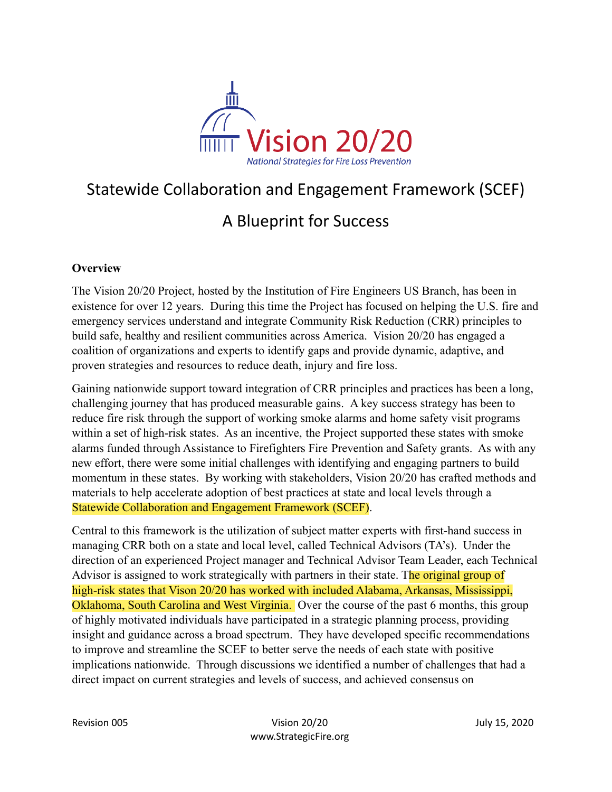

# Statewide Collaboration and Engagement Framework (SCEF)

# A Blueprint for Success

# **Overview**

The Vision 20/20 Project, hosted by the Institution of Fire Engineers US Branch, has been in existence for over 12 years. During this time the Project has focused on helping the U.S. fire and emergency services understand and integrate Community Risk Reduction (CRR) principles to build safe, healthy and resilient communities across America. Vision 20/20 has engaged a coalition of organizations and experts to identify gaps and provide dynamic, adaptive, and proven strategies and resources to reduce death, injury and fire loss.

Gaining nationwide support toward integration of CRR principles and practices has been a long, challenging journey that has produced measurable gains. A key success strategy has been to reduce fire risk through the support of working smoke alarms and home safety visit programs within a set of high-risk states. As an incentive, the Project supported these states with smoke alarms funded through Assistance to Firefighters Fire Prevention and Safety grants. As with any new effort, there were some initial challenges with identifying and engaging partners to build momentum in these states. By working with stakeholders, Vision 20/20 has crafted methods and materials to help accelerate adoption of best practices at state and local levels through a Statewide Collaboration and Engagement Framework (SCEF).

Central to this framework is the utilization of subject matter experts with first-hand success in managing CRR both on a state and local level, called Technical Advisors (TA's). Under the direction of an experienced Project manager and Technical Advisor Team Leader, each Technical Advisor is assigned to work strategically with partners in their state. The original group of high-risk states that Vison 20/20 has worked with included Alabama, Arkansas, Mississippi, Oklahoma, South Carolina and West Virginia. Over the course of the past 6 months, this group of highly motivated individuals have participated in a strategic planning process, providing insight and guidance across a broad spectrum. They have developed specific recommendations to improve and streamline the SCEF to better serve the needs of each state with positive implications nationwide. Through discussions we identified a number of challenges that had a direct impact on current strategies and levels of success, and achieved consensus on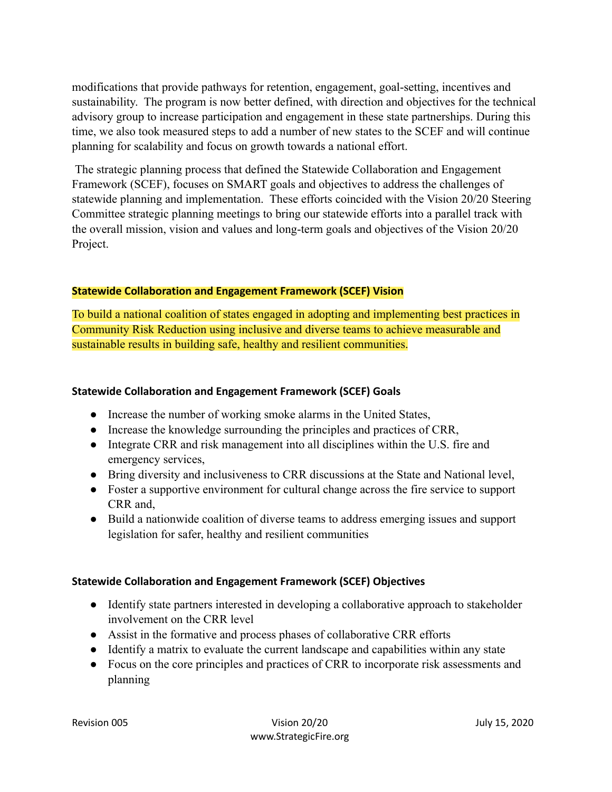modifications that provide pathways for retention, engagement, goal-setting, incentives and sustainability. The program is now better defined, with direction and objectives for the technical advisory group to increase participation and engagement in these state partnerships. During this time, we also took measured steps to add a number of new states to the SCEF and will continue planning for scalability and focus on growth towards a national effort.

The strategic planning process that defined the Statewide Collaboration and Engagement Framework (SCEF), focuses on SMART goals and objectives to address the challenges of statewide planning and implementation. These efforts coincided with the Vision 20/20 Steering Committee strategic planning meetings to bring our statewide efforts into a parallel track with the overall mission, vision and values and long-term goals and objectives of the Vision 20/20 Project.

#### **Statewide Collaboration and Engagement Framework (SCEF) Vision**

To build a national coalition of states engaged in adopting and implementing best practices in Community Risk Reduction using inclusive and diverse teams to achieve measurable and sustainable results in building safe, healthy and resilient communities.

#### **Statewide Collaboration and Engagement Framework (SCEF) Goals**

- Increase the number of working smoke alarms in the United States,
- Increase the knowledge surrounding the principles and practices of CRR,
- Integrate CRR and risk management into all disciplines within the U.S. fire and emergency services,
- Bring diversity and inclusiveness to CRR discussions at the State and National level,
- Foster a supportive environment for cultural change across the fire service to support CRR and,
- Build a nationwide coalition of diverse teams to address emerging issues and support legislation for safer, healthy and resilient communities

# **Statewide Collaboration and Engagement Framework (SCEF) Objectives**

- Identify state partners interested in developing a collaborative approach to stakeholder involvement on the CRR level
- Assist in the formative and process phases of collaborative CRR efforts
- Identify a matrix to evaluate the current landscape and capabilities within any state
- Focus on the core principles and practices of CRR to incorporate risk assessments and planning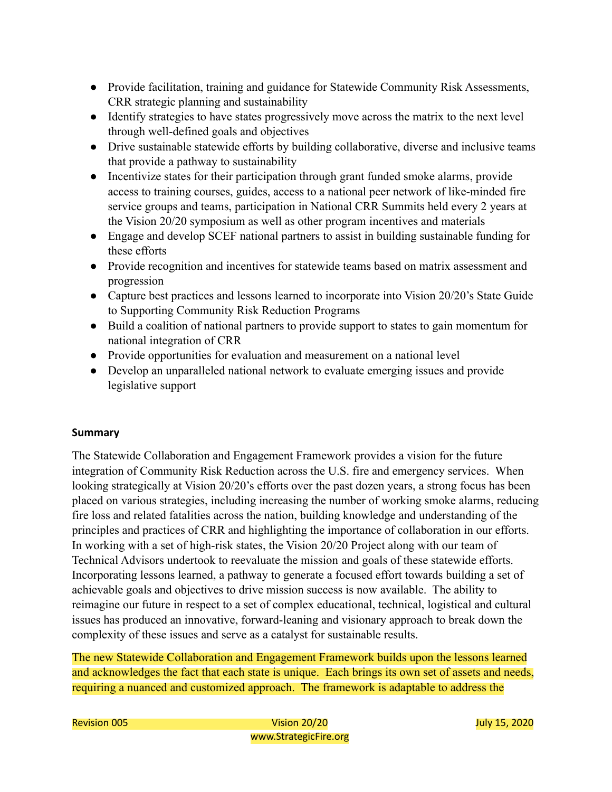- Provide facilitation, training and guidance for Statewide Community Risk Assessments, CRR strategic planning and sustainability
- Identify strategies to have states progressively move across the matrix to the next level through well-defined goals and objectives
- Drive sustainable statewide efforts by building collaborative, diverse and inclusive teams that provide a pathway to sustainability
- Incentivize states for their participation through grant funded smoke alarms, provide access to training courses, guides, access to a national peer network of like-minded fire service groups and teams, participation in National CRR Summits held every 2 years at the Vision 20/20 symposium as well as other program incentives and materials
- Engage and develop SCEF national partners to assist in building sustainable funding for these efforts
- Provide recognition and incentives for statewide teams based on matrix assessment and progression
- Capture best practices and lessons learned to incorporate into Vision 20/20's State Guide to Supporting Community Risk Reduction Programs
- Build a coalition of national partners to provide support to states to gain momentum for national integration of CRR
- Provide opportunities for evaluation and measurement on a national level
- Develop an unparalleled national network to evaluate emerging issues and provide legislative support

# **Summary**

The Statewide Collaboration and Engagement Framework provides a vision for the future integration of Community Risk Reduction across the U.S. fire and emergency services. When looking strategically at Vision 20/20's efforts over the past dozen years, a strong focus has been placed on various strategies, including increasing the number of working smoke alarms, reducing fire loss and related fatalities across the nation, building knowledge and understanding of the principles and practices of CRR and highlighting the importance of collaboration in our efforts. In working with a set of high-risk states, the Vision 20/20 Project along with our team of Technical Advisors undertook to reevaluate the mission and goals of these statewide efforts. Incorporating lessons learned, a pathway to generate a focused effort towards building a set of achievable goals and objectives to drive mission success is now available. The ability to reimagine our future in respect to a set of complex educational, technical, logistical and cultural issues has produced an innovative, forward-leaning and visionary approach to break down the complexity of these issues and serve as a catalyst for sustainable results.

The new Statewide Collaboration and Engagement Framework builds upon the lessons learned and acknowledges the fact that each state is unique. Each brings its own set of assets and needs, requiring a nuanced and customized approach. The framework is adaptable to address the